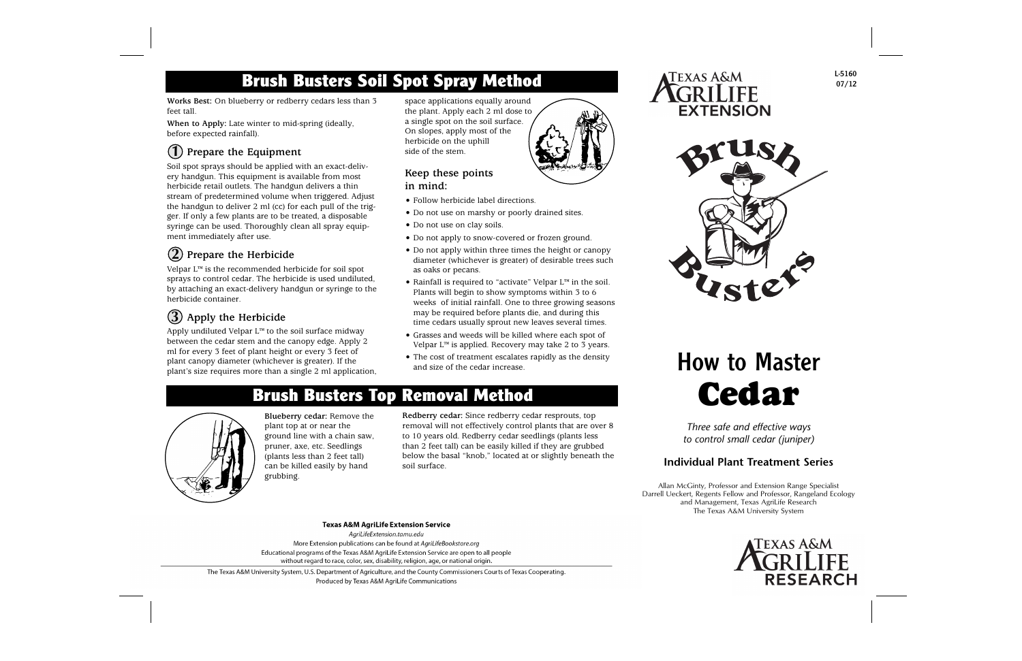### **Brush Busters Soil Spot Spray Method**

**Works Best:** On blueberry or redberry cedars less than 3 feet tall.

**When to Apply:** Late winter to mid-spring (ideally, before expected rainfall).

### **Prepare the Equipment 1**

Soil spot sprays should be applied with an exact-delivery handgun. This equipment is available from most herbicide retail outlets. The handgun delivers a thin stream of predetermined volume when triggered. Adjust the handgun to deliver 2 ml (cc) for each pull of the trigger. If only a few plants are to be treated, a disposable syringe can be used. Thoroughly clean all spray equipment immediately after use.

#### **Prepare the Herbicide 2**

Velpar L™ is the recommended herbicide for soil spot sprays to control cedar. The herbicide is used undiluted, by attaching an exact-delivery handgun or syringe to the herbicide container.

#### **Apply the Herbicide 3**

Apply undiluted Velpar L™ to the soil surface midway between the cedar stem and the canopy edge. Apply 2 ml for every 3 feet of plant height or every 3 feet of plant canopy diameter (whichever is greater). If the plant's size requires more than a single 2 ml application, space applications equally around the plant. Apply each 2 ml dose to a single spot on the soil surface. On slopes, apply most of the herbicide on the uphill side of the stem.

#### **Keep these points in mind:**

- Follow herbicide label directions.
- Do not use on marshy or poorly drained sites.
- Do not use on clay soils.
- Do not apply to snow-covered or frozen ground.
- Do not apply within three times the height or canopy diameter (whichever is greater) of desirable trees such as oaks or pecans.
- Rainfall is required to "activate" Velpar L™ in the soil. Plants will begin to show symptoms within 3 to 6 weeks of initial rainfall. One to three growing seasons may be required before plants die, and during this time cedars usually sprout new leaves several times.
- Grasses and weeds will be killed where each spot of Velpar  $L^{\infty}$  is applied. Recovery may take 2 to 3 years.
- The cost of treatment escalates rapidly as the density and size of the cedar increase.

### **Brush Busters Top Removal Method**



**Blueberry cedar:** Remove the plant top at or near the ground line with a chain saw, pruner, axe, etc. Seedlings (plants less than 2 feet tall) can be killed easily by hand grubbing.

**Redberry cedar:** Since redberry cedar resprouts, top removal will not effectively control plants that are over 8 to 10 years old. Redberry cedar seedlings (plants less than 2 feet tall) can be easily killed if they are grubbed below the basal "knob," located at or slightly beneath the soil surface.





L-5160 07/12

# How to Master **Cedar**

*Three safe and effective ways to control small cedar (juniper)*

#### **Individual Plant Treatment Series**

Allan McGinty, Professor and Extension Range Specialist Darrell Ueckert, Regents Fellow and Professor, Rangeland Ecology and Management, Texas AgriLife Research The Texas A&M University System



#### **Texas A&M AgriLife Extension Service**

AgriLifeExtension.tamu.edu More Extension publications can be found at AgriLifeBookstore.org Educational programs of the Texas A&M AgriLife Extension Service are open to all people without regard to race, color, sex, disability, religion, age, or national origin.

The Texas A&M University System, U.S. Department of Agriculture, and the County Commissioners Courts of Texas Cooperating. Produced by Texas A&M AgriLife Communications